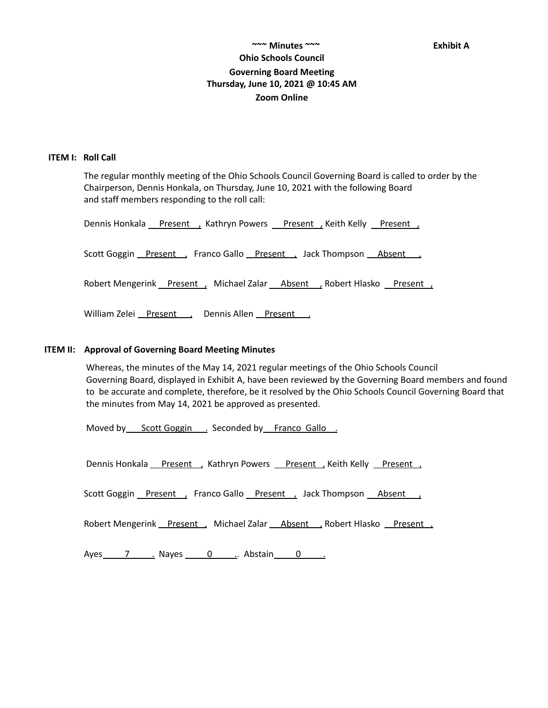# **~~~ Minutes ~~~ Exhibit A Ohio Schools Council Governing Board Meeting Thursday, June 10, 2021 @ 10:45 AM Zoom Online**

#### **ITEM I: Roll Call**

The regular monthly meeting of the Ohio Schools Council Governing Board is called to order by the Chairperson, Dennis Honkala, on Thursday, June 10, 2021 with the following Board and staff members responding to the roll call:

Dennis Honkala Present, Kathryn Powers Present, Keith Kelly Present, Scott Goggin Present , Franco Gallo Present , Jack Thompson Absent , Robert Mengerink Present , Michael Zalar Absent , Robert Hlasko Present , William Zelei Present , Dennis Allen Present .

#### **ITEM II: Approval of Governing Board Meeting Minutes**

Whereas, the minutes of the May 14, 2021 regular meetings of the Ohio Schools Council Governing Board, displayed in Exhibit A, have been reviewed by the Governing Board members and found to be accurate and complete, therefore, be it resolved by the Ohio Schools Council Governing Board that the minutes from May 14, 2021 be approved as presented.

Moved by Scott Goggin . Seconded by Franco Gallo .

Dennis Honkala Present , Kathryn Powers Present , Keith Kelly Present

Scott Goggin Present , Franco Gallo Present , Jack Thompson Absent

Robert Mengerink Present , Michael Zalar Absent , Robert Hlasko Present ,

Ayes 7 . Nayes 0 . Abstain 0 .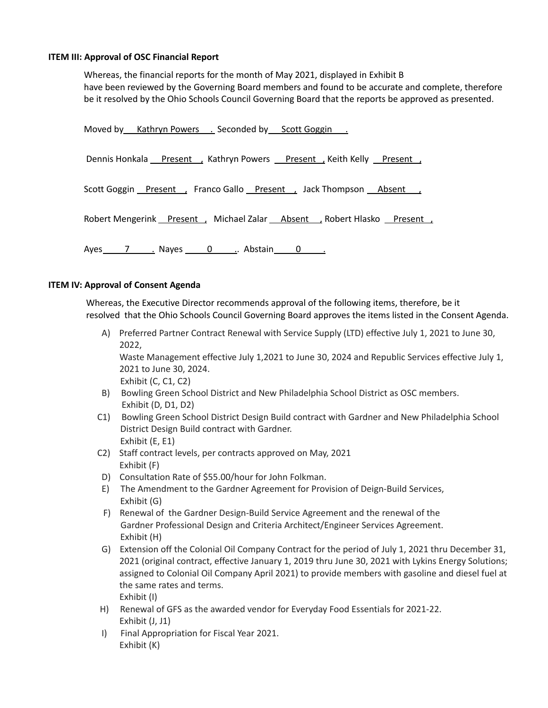### **ITEM III: Approval of OSC Financial Report**

Whereas, the financial reports for the month of May 2021, displayed in Exhibit B have been reviewed by the Governing Board members and found to be accurate and complete, therefore be it resolved by the Ohio Schools Council Governing Board that the reports be approved as presented.

| Moved by Kathryn Powers . Seconded by Scott Goggin .                 |
|----------------------------------------------------------------------|
| Dennis Honkala Present Kathryn Powers Present Keith Kelly Present    |
| Scott Goggin Present , Franco Gallo Present , Jack Thompson Absent , |
| Robert Mengerink Present Michael Zalar Absent Robert Hlasko Present  |
| Ayes 7 Nayes 0 Abstain 0 Ayes                                        |

## **ITEM IV: Approval of Consent Agenda**

Whereas, the Executive Director recommends approval of the following items, therefore, be it resolved that the Ohio Schools Council Governing Board approves the items listed in the Consent Agenda.

A) Preferred Partner Contract Renewal with Service Supply (LTD) effective July 1, 2021 to June 30, 2022,

Waste Management effective July 1,2021 to June 30, 2024 and Republic Services effective July 1, 2021 to June 30, 2024.

Exhibit (C, C1, C2)

- B) Bowling Green School District and New Philadelphia School District as OSC members. Exhibit (D, D1, D2)
- C1) Bowling Green School District Design Build contract with Gardner and New Philadelphia School District Design Build contract with Gardner. Exhibit (E, E1)
- C2) Staff contract levels, per contracts approved on May, 2021 Exhibit (F)
- D) Consultation Rate of \$55.00/hour for John Folkman.
- E) The Amendment to the Gardner Agreement for Provision of Deign-Build Services, Exhibit (G)
- F) Renewal of the Gardner Design-Build Service Agreement and the renewal of the Gardner Professional Design and Criteria Architect/Engineer Services Agreement. Exhibit (H)
- G) Extension off the Colonial Oil Company Contract for the period of July 1, 2021 thru December 31, 2021 (original contract, effective January 1, 2019 thru June 30, 2021 with Lykins Energy Solutions; assigned to Colonial Oil Company April 2021) to provide members with gasoline and diesel fuel at the same rates and terms. Exhibit (I)
- H) Renewal of GFS as the awarded vendor for Everyday Food Essentials for 2021-22. Exhibit (J, J1)
- I) Final Appropriation for Fiscal Year 2021. Exhibit (K)